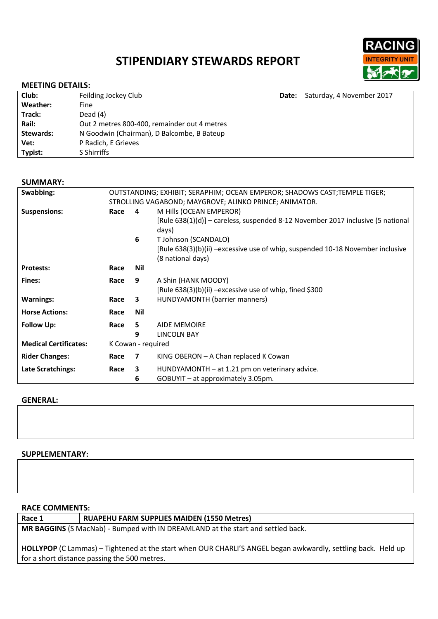# **STIPENDIARY STEWARDS REPORT**



#### **MEETING DETAILS:**

| Club:<br>Feilding Jockey Club                           | Date: Saturday, 4 November 2017 |
|---------------------------------------------------------|---------------------------------|
| Weather:<br>Fine                                        |                                 |
| Dead $(4)$<br>Track:                                    |                                 |
| Rail:<br>Out 2 metres 800-400, remainder out 4 metres   |                                 |
| N Goodwin (Chairman), D Balcombe, B Bateup<br>Stewards: |                                 |
| Vet:<br>P Radich, E Grieves                             |                                 |
| Typist:<br>S Shirriffs                                  |                                 |

#### **SUMMARY:**

| Swabbing:                    | OUTSTANDING; EXHIBIT; SERAPHIM; OCEAN EMPEROR; SHADOWS CAST; TEMPLE TIGER; |     |                                                                                                     |
|------------------------------|----------------------------------------------------------------------------|-----|-----------------------------------------------------------------------------------------------------|
|                              | STROLLING VAGABOND; MAYGROVE; ALINKO PRINCE; ANIMATOR.                     |     |                                                                                                     |
| <b>Suspensions:</b>          | Race                                                                       | 4   | M Hills (OCEAN EMPEROR)                                                                             |
|                              |                                                                            |     | [Rule 638(1)(d)] – careless, suspended 8-12 November 2017 inclusive (5 national<br>days)            |
|                              |                                                                            | 6   | T Johnson (SCANDALO)                                                                                |
|                              |                                                                            |     | [Rule 638(3)(b)(ii) -excessive use of whip, suspended 10-18 November inclusive<br>(8 national days) |
| <b>Protests:</b>             | Race                                                                       | Nil |                                                                                                     |
| Fines:                       | Race                                                                       | 9   | A Shin (HANK MOODY)                                                                                 |
|                              |                                                                            |     | [Rule $638(3)(b)(ii)$ –excessive use of whip, fined \$300                                           |
| <b>Warnings:</b>             | Race                                                                       | 3   | HUNDYAMONTH (barrier manners)                                                                       |
| <b>Horse Actions:</b>        | Race                                                                       | Nil |                                                                                                     |
| <b>Follow Up:</b>            | Race                                                                       | 5   | <b>AIDE MEMOIRE</b>                                                                                 |
|                              |                                                                            | 9   | LINCOLN BAY                                                                                         |
| <b>Medical Certificates:</b> | K Cowan - required                                                         |     |                                                                                                     |
| <b>Rider Changes:</b>        | Race                                                                       | 7   | KING OBERON $-$ A Chan replaced K Cowan                                                             |
| Late Scratchings:            | Race                                                                       | 3   | HUNDYAMONTH - at 1.21 pm on veterinary advice.                                                      |
|                              |                                                                            | 6   | GOBUYIT - at approximately 3.05pm.                                                                  |

#### **GENERAL:**

# **SUPPLEMENTARY:**

**RACE COMMENTS:**

**Race 1 RUAPEHU FARM SUPPLIES MAIDEN (1550 Metres)**

**MR BAGGINS** (S MacNab) - Bumped with IN DREAMLAND at the start and settled back.

**HOLLYPOP** (C Lammas) – Tightened at the start when OUR CHARLI'S ANGEL began awkwardly, settling back. Held up for a short distance passing the 500 metres.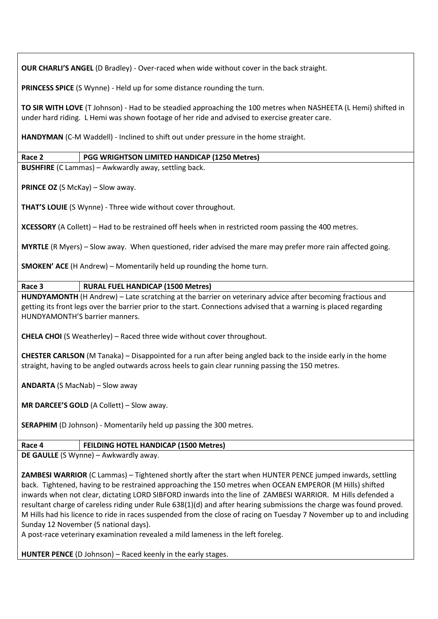**OUR CHARLI'S ANGEL** (D Bradley) - Over-raced when wide without cover in the back straight.

**PRINCESS SPICE** (S Wynne) - Held up for some distance rounding the turn.

**TO SIR WITH LOVE** (T Johnson) - Had to be steadied approaching the 100 metres when NASHEETA (L Hemi) shifted in under hard riding. L Hemi was shown footage of her ride and advised to exercise greater care.

**HANDYMAN** (C-M Waddell) - Inclined to shift out under pressure in the home straight.

# **Race 2 PGG WRIGHTSON LIMITED HANDICAP (1250 Metres)**

**BUSHFIRE** (C Lammas) – Awkwardly away, settling back.

**PRINCE OZ** (S McKay) – Slow away.

**THAT'S LOUIE** (S Wynne) - Three wide without cover throughout.

**XCESSORY** (A Collett) – Had to be restrained off heels when in restricted room passing the 400 metres.

**MYRTLE** (R Myers) – Slow away. When questioned, rider advised the mare may prefer more rain affected going.

**SMOKEN' ACE** (H Andrew) – Momentarily held up rounding the home turn.

# **Race 3 RURAL FUEL HANDICAP (1500 Metres)**

**HUNDYAMONTH** (H Andrew) – Late scratching at the barrier on veterinary advice after becoming fractious and getting its front legs over the barrier prior to the start. Connections advised that a warning is placed regarding HUNDYAMONTH'S barrier manners.

**CHELA CHOI** (S Weatherley) – Raced three wide without cover throughout.

**CHESTER CARLSON** (M Tanaka) – Disappointed for a run after being angled back to the inside early in the home straight, having to be angled outwards across heels to gain clear running passing the 150 metres.

**ANDARTA** (S MacNab) – Slow away

**MR DARCEE'S GOLD** (A Collett) – Slow away.

**SERAPHIM** (D Johnson) - Momentarily held up passing the 300 metres.

#### **Race 4 FEILDING HOTEL HANDICAP (1500 Metres)**

**DE GAULLE** (S Wynne) – Awkwardly away.

**ZAMBESI WARRIOR** (C Lammas) – Tightened shortly after the start when HUNTER PENCE jumped inwards, settling back. Tightened, having to be restrained approaching the 150 metres when OCEAN EMPEROR (M Hills) shifted inwards when not clear, dictating LORD SIBFORD inwards into the line of ZAMBESI WARRIOR. M Hills defended a resultant charge of careless riding under Rule 638(1)(d) and after hearing submissions the charge was found proved. M Hills had his licence to ride in races suspended from the close of racing on Tuesday 7 November up to and including Sunday 12 November (5 national days).

A post-race veterinary examination revealed a mild lameness in the left foreleg.

**HUNTER PENCE** (D Johnson) – Raced keenly in the early stages.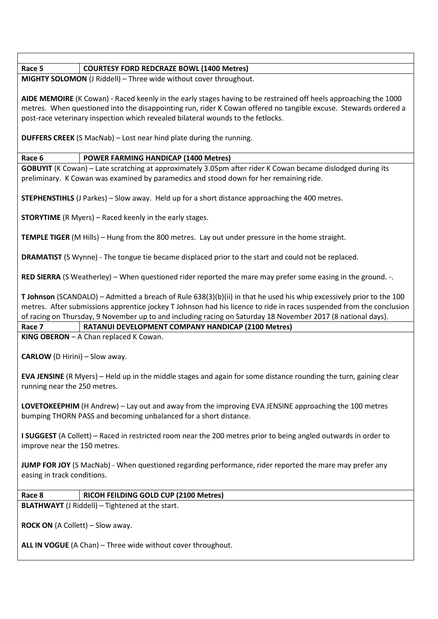#### **Race 5 COURTESY FORD REDCRAZE BOWL (1400 Metres)**

**MIGHTY SOLOMON** (J Riddell) – Three wide without cover throughout.

**AIDE MEMOIRE** (K Cowan) - Raced keenly in the early stages having to be restrained off heels approaching the 1000 metres. When questioned into the disappointing run, rider K Cowan offered no tangible excuse. Stewards ordered a post-race veterinary inspection which revealed bilateral wounds to the fetlocks.

**DUFFERS CREEK** (S MacNab) – Lost near hind plate during the running.

# **Race 6 POWER FARMING HANDICAP (1400 Metres)**

**GOBUYIT** (K Cowan) – Late scratching at approximately 3.05pm after rider K Cowan became dislodged during its preliminary. K Cowan was examined by paramedics and stood down for her remaining ride.

**STEPHENSTIHLS** (J Parkes) – Slow away. Held up for a short distance approaching the 400 metres.

**STORYTIME** (R Myers) – Raced keenly in the early stages.

**TEMPLE TIGER** (M Hills) – Hung from the 800 metres. Lay out under pressure in the home straight.

**DRAMATIST** (S Wynne) - The tongue tie became displaced prior to the start and could not be replaced.

**RED SIERRA** (S Weatherley) – When questioned rider reported the mare may prefer some easing in the ground. -.

**T Johnson** (SCANDALO) – Admitted a breach of Rule 638(3)(b)(ii) in that he used his whip excessively prior to the 100 metres. After submissions apprentice jockey T Johnson had his licence to ride in races suspended from the conclusion of racing on Thursday, 9 November up to and including racing on Saturday 18 November 2017 (8 national days).

**Race 7 RATANUI DEVELOPMENT COMPANY HANDICAP (2100 Metres)**

**KING OBERON** – A Chan replaced K Cowan.

**CARLOW** (D Hirini) – Slow away.

**EVA JENSINE** (R Myers) – Held up in the middle stages and again for some distance rounding the turn, gaining clear running near the 250 metres.

**LOVETOKEEPHIM** (H Andrew) – Lay out and away from the improving EVA JENSINE approaching the 100 metres bumping THORN PASS and becoming unbalanced for a short distance.

**I SUGGEST** (A Collett) – Raced in restricted room near the 200 metres prior to being angled outwards in order to improve near the 150 metres.

**JUMP FOR JOY** (S MacNab) - When questioned regarding performance, rider reported the mare may prefer any easing in track conditions.

## **Race 8 RICOH FEILDING GOLD CUP (2100 Metres)**

**BLATHWAYT** (J Riddell) – Tightened at the start.

**ROCK ON** (A Collett) – Slow away.

**ALL IN VOGUE** (A Chan) – Three wide without cover throughout.